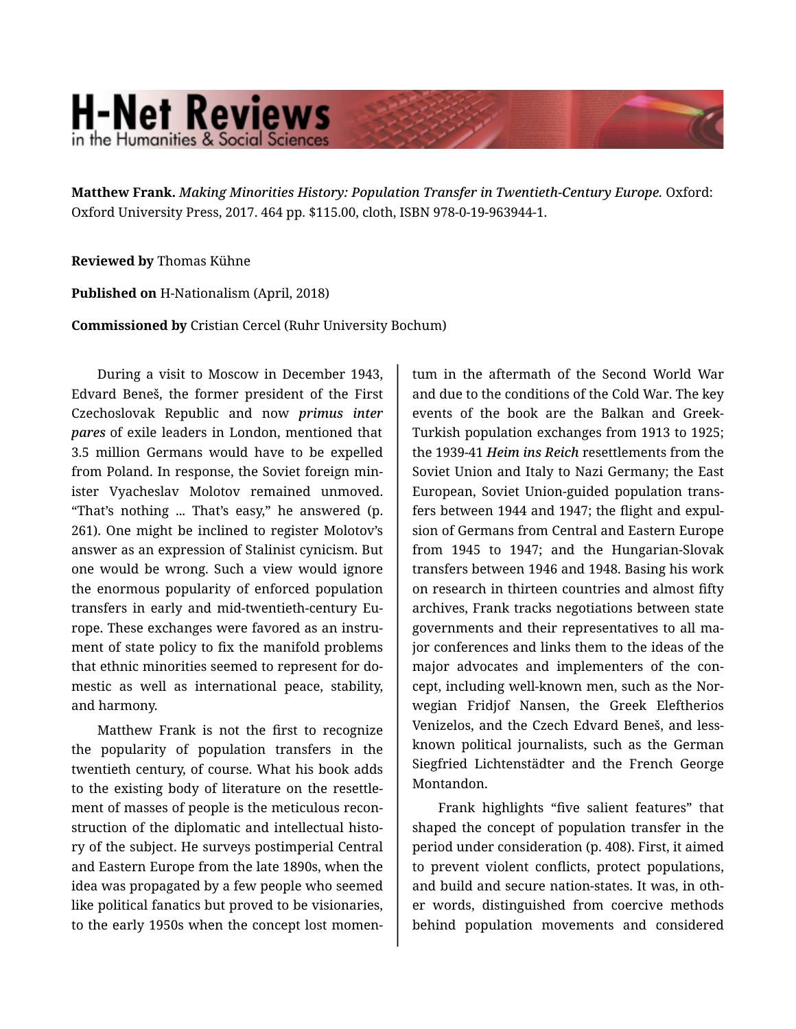## **H-Net Reviews** in the Humanities & Social Scienc

**Matthew Frank.** *Making Minorities History: Population Transfer in Twentieth-Century Europe.* Oxford: Oxford University Press, 2017. 464 pp. \$115.00, cloth, ISBN 978-0-19-963944-1.

**Reviewed by** Thomas Kühne

**Published on** H-Nationalism (April, 2018)

**Commissioned by** Cristian Cercel (Ruhr University Bochum)

During a visit to Moscow in December 1943, Edvard Beneš, the former president of the First Czechoslovak Republic and now *primus inter pares* of exile leaders in London, mentioned that 3.5 million Germans would have to be expelled from Poland. In response, the Soviet foreign min‐ ister Vyacheslav Molotov remained unmoved. "That's nothing ... That's easy," he answered (p. 261). One might be inclined to register Molotov's answer as an expression of Stalinist cynicism. But one would be wrong. Such a view would ignore the enormous popularity of enforced population transfers in early and mid-twentieth-century Eu‐ rope. These exchanges were favored as an instru‐ ment of state policy to fix the manifold problems that ethnic minorities seemed to represent for do‐ mestic as well as international peace, stability, and harmony.

Matthew Frank is not the first to recognize the popularity of population transfers in the twentieth century, of course. What his book adds to the existing body of literature on the resettle‐ ment of masses of people is the meticulous recon‐ struction of the diplomatic and intellectual histo‐ ry of the subject. He surveys postimperial Central and Eastern Europe from the late 1890s, when the idea was propagated by a few people who seemed like political fanatics but proved to be visionaries, to the early 1950s when the concept lost momen‐

tum in the aftermath of the Second World War and due to the conditions of the Cold War. The key events of the book are the Balkan and Greek-Turkish population exchanges from 1913 to 1925; the 1939-41 *Heim ins Reich* resettlements from the Soviet Union and Italy to Nazi Germany; the East European, Soviet Union-guided population trans‐ fers between 1944 and 1947; the flight and expul‐ sion of Germans from Central and Eastern Europe from 1945 to 1947; and the Hungarian-Slovak transfers between 1946 and 1948. Basing his work on research in thirteen countries and almost fifty archives, Frank tracks negotiations between state governments and their representatives to all ma‐ jor conferences and links them to the ideas of the major advocates and implementers of the concept, including well-known men, such as the Nor‐ wegian Fridjof Nansen, the Greek Eleftherios Venizelos, and the Czech Edvard Beneš, and lessknown political journalists, such as the German Siegfried Lichtenstädter and the French George Montandon.

Frank highlights "five salient features" that shaped the concept of population transfer in the period under consideration (p. 408). First, it aimed to prevent violent conflicts, protect populations, and build and secure nation-states. It was, in oth‐ er words, distinguished from coercive methods behind population movements and considered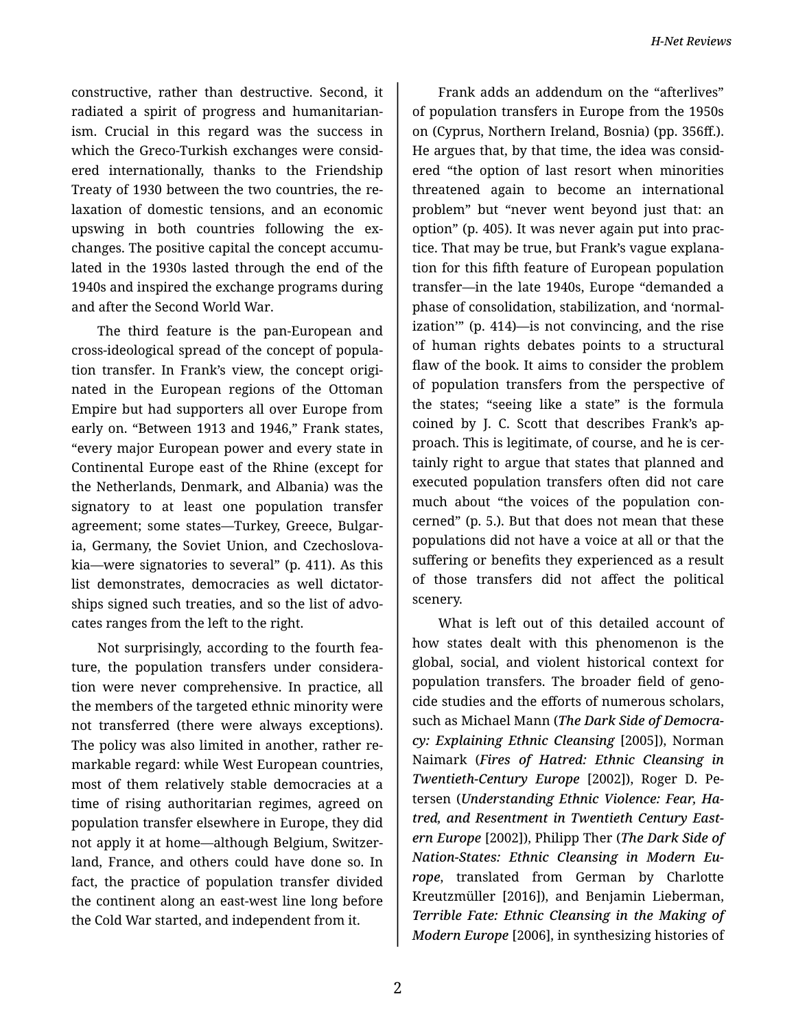constructive, rather than destructive. Second, it radiated a spirit of progress and humanitarian‐ ism. Crucial in this regard was the success in which the Greco-Turkish exchanges were considered internationally, thanks to the Friendship Treaty of 1930 between the two countries, the re‐ laxation of domestic tensions, and an economic upswing in both countries following the ex‐ changes. The positive capital the concept accumu‐ lated in the 1930s lasted through the end of the 1940s and inspired the exchange programs during and after the Second World War.

The third feature is the pan-European and cross-ideological spread of the concept of popula‐ tion transfer. In Frank's view, the concept origi‐ nated in the European regions of the Ottoman Empire but had supporters all over Europe from early on. "Between 1913 and 1946," Frank states, "every major European power and every state in Continental Europe east of the Rhine (except for the Netherlands, Denmark, and Albania) was the signatory to at least one population transfer agreement; some states—Turkey, Greece, Bulgar‐ ia, Germany, the Soviet Union, and Czechoslova‐ kia—were signatories to several" (p. 411). As this list demonstrates, democracies as well dictator‐ ships signed such treaties, and so the list of advo‐ cates ranges from the left to the right.

Not surprisingly, according to the fourth fea‐ ture, the population transfers under considera‐ tion were never comprehensive. In practice, all the members of the targeted ethnic minority were not transferred (there were always exceptions). The policy was also limited in another, rather re‐ markable regard: while West European countries, most of them relatively stable democracies at a time of rising authoritarian regimes, agreed on population transfer elsewhere in Europe, they did not apply it at home—although Belgium, Switzer‐ land, France, and others could have done so. In fact, the practice of population transfer divided the continent along an east-west line long before the Cold War started, and independent from it.

Frank adds an addendum on the "afterlives" of population transfers in Europe from the 1950s on (Cyprus, Northern Ireland, Bosnia) (pp. 356ff.). He argues that, by that time, the idea was consid‐ ered "the option of last resort when minorities threatened again to become an international problem" but "never went beyond just that: an option" (p. 405). It was never again put into prac‐ tice. That may be true, but Frank's vague explana‐ tion for this fifth feature of European population transfer—in the late 1940s, Europe "demanded a phase of consolidation, stabilization, and 'normal‐ ization'" (p. 414)—is not convincing, and the rise of human rights debates points to a structural flaw of the book. It aims to consider the problem of population transfers from the perspective of the states; "seeing like a state" is the formula coined by J. C. Scott that describes Frank's ap‐ proach. This is legitimate, of course, and he is cer‐ tainly right to argue that states that planned and executed population transfers often did not care much about "the voices of the population concerned" (p. 5.). But that does not mean that these populations did not have a voice at all or that the suffering or benefits they experienced as a result of those transfers did not affect the political scenery.

What is left out of this detailed account of how states dealt with this phenomenon is the global, social, and violent historical context for population transfers. The broader field of geno‐ cide studies and the efforts of numerous scholars, such as Michael Mann (*The Dark Side of Democra‐ cy: Explaining Ethnic Cleansing* [2005]), Norman Naimark (*Fires of Hatred: Ethnic Cleansing in Twentieth-Century Europe* [2002]), Roger D. Pe‐ tersen (*Understanding Ethnic Violence: Fear, Ha‐ tred, and Resentment in Twentieth Century East‐ ern Europe* [2002]), Philipp Ther (*The Dark Side of Nation-States: Ethnic Cleansing in Modern Eu‐ rope*, translated from German by Charlotte Kreutzmüller [2016]), and Benjamin Lieberman, *Terrible Fate: Ethnic Cleansing in the Making of Modern Europe* [2006], in synthesizing histories of